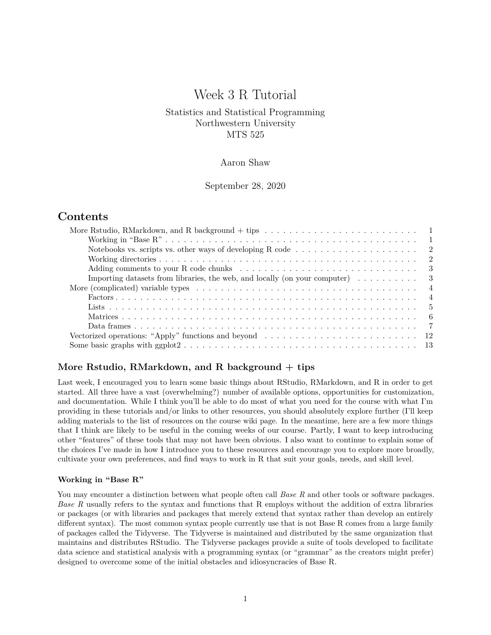# Week 3 R Tutorial

# Statistics and Statistical Programming Northwestern University MTS 525

# Aaron Shaw

September 28, 2020

# **Contents**

| Notebooks vs. scripts vs. other ways of developing R code $\dots \dots \dots \dots \dots \dots \dots \dots$             |  |  |  |  |  |  |  |  |  |  |  |
|-------------------------------------------------------------------------------------------------------------------------|--|--|--|--|--|--|--|--|--|--|--|
|                                                                                                                         |  |  |  |  |  |  |  |  |  |  |  |
|                                                                                                                         |  |  |  |  |  |  |  |  |  |  |  |
| Importing datasets from libraries, the web, and locally (on your computer) $\dots \dots \dots$<br>- 3                   |  |  |  |  |  |  |  |  |  |  |  |
| $\overline{4}$                                                                                                          |  |  |  |  |  |  |  |  |  |  |  |
| $\overline{4}$                                                                                                          |  |  |  |  |  |  |  |  |  |  |  |
|                                                                                                                         |  |  |  |  |  |  |  |  |  |  |  |
|                                                                                                                         |  |  |  |  |  |  |  |  |  |  |  |
|                                                                                                                         |  |  |  |  |  |  |  |  |  |  |  |
| Vectorized operations: "Apply" functions and beyond $\dots \dots \dots \dots \dots \dots \dots \dots \dots \dots \dots$ |  |  |  |  |  |  |  |  |  |  |  |
|                                                                                                                         |  |  |  |  |  |  |  |  |  |  |  |
|                                                                                                                         |  |  |  |  |  |  |  |  |  |  |  |

# <span id="page-0-0"></span>**More Rstudio, RMarkdown, and R background + tips**

Last week, I encouraged you to learn some basic things about RStudio, RMarkdown, and R in order to get started. All three have a vast (overwhelming?) number of available options, opportunities for customization, and documentation. While I think you'll be able to do most of what you need for the course with what I'm providing in these tutorials and/or links to other resources, you should absolutely explore further (I'll keep adding materials to the list of resources on the course wiki page. In the meantime, here are a few more things that I think are likely to be useful in the coming weeks of our course. Partly, I want to keep introducing other "features" of these tools that may not have been obvious. I also want to continue to explain some of the choices I've made in how I introduce you to these resources and encourage you to explore more broadly, cultivate your own preferences, and find ways to work in R that suit your goals, needs, and skill level.

### <span id="page-0-1"></span>**Working in "Base R"**

You may encounter a distinction between what people often call *Base R* and other tools or software packages. *Base R* usually refers to the syntax and functions that R employs without the addition of extra libraries or packages (or with libraries and packages that merely extend that syntax rather than develop an entirely different syntax). The most common syntax people currently use that is not Base R comes from a large family of packages called [the Tidyverse.](https://www.tidyverse.org/) The Tidyverse is maintained and distributed by the same organization that maintains and distributes RStudio. The Tidyverse packages provide a suite of tools developed to facilitate data science and statistical analysis with a programming syntax (or "grammar" as the creators might prefer) designed to overcome some of the initial obstacles and idiosyncracies of Base R.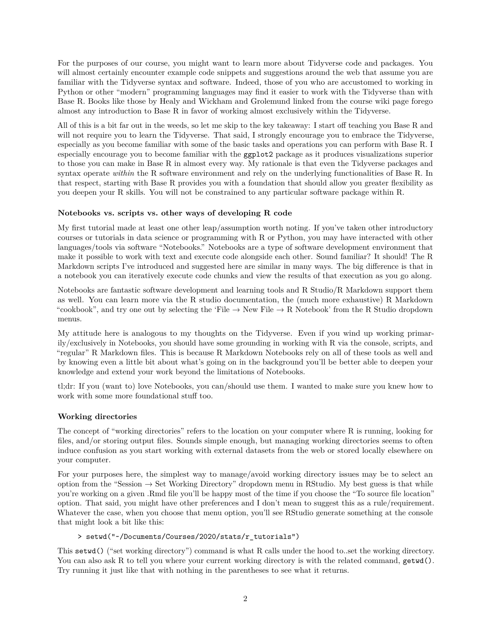For the purposes of our course, you might want to learn more about Tidyverse code and packages. You will almost certainly encounter example code snippets and suggestions around the web that assume you are familiar with the Tidyverse syntax and software. Indeed, those of you who are accustomed to working in Python or other "modern" programming languages may find it easier to work with the Tidyverse than with Base R. Books like those by Healy and Wickham and Grolemund linked from the course wiki page forego almost any introduction to Base R in favor of working almost exclusively within the Tidyverse.

All of this is a bit far out in the weeds, so let me skip to the key takeaway: I start off teaching you Base R and will not require you to learn the Tidyverse. That said, I strongly encourage you to embrace the Tidyverse, especially as you become familiar with some of the basic tasks and operations you can perform with Base R. I especially encourage you to become familiar with the ggplot2 package as it produces visualizations superior to those you can make in Base R in almost every way. My rationale is that even the Tidyverse packages and syntax operate *within* the R software environment and rely on the underlying functionalities of Base R. In that respect, starting with Base R provides you with a foundation that should allow you greater flexibility as you deepen your R skills. You will not be constrained to any particular software package within R.

# <span id="page-1-0"></span>**Notebooks vs. scripts vs. other ways of developing R code**

My first tutorial made at least one other leap/assumption worth noting. If you've taken other introductory courses or tutorials in data science or programming with R or Python, you may have interacted with other languages/tools via software "Notebooks." Notebooks are a type of software development environment that make it possible to work with text and execute code alongside each other. Sound familiar? It should! The R Markdown scripts I've introduced and suggested here are similar in many ways. The big difference is that in a notebook you can iteratively execute code chunks and view the results of that execution as you go along.

Notebooks are fantastic software development and learning tools and R Studio/R Markdown support them as well. You can learn more via the [R studio documentation,](https://rmarkdown.rstudio.com/lesson-10.html) the (much more exhaustive) [R Markdown](https://bookdown.org/yihui/rmarkdown-cookbook/notebook.html) ["cookbook",](https://bookdown.org/yihui/rmarkdown-cookbook/notebook.html) and try one out by selecting the 'File  $\rightarrow$  New File  $\rightarrow$  R Notebook' from the R Studio dropdown menus.

My attitude here is analogous to my thoughts on the Tidyverse. Even if you wind up working primarily/exclusively in Notebooks, you should have some grounding in working with R via the console, scripts, and "regular" R Markdown files. This is because R Markdown Notebooks rely on all of these tools as well and by knowing even a little bit about what's going on in the background you'll be better able to deepen your knowledge and extend your work beyond the limitations of Notebooks.

tl;dr: If you (want to) love Notebooks, you can/should use them. I wanted to make sure you knew how to work with some more foundational stuff too.

# <span id="page-1-1"></span>**Working directories**

The concept of "working directories" refers to the location on your computer where R is running, looking for files, and/or storing output files. Sounds simple enough, but managing working directories seems to often induce confusion as you start working with external datasets from the web or stored locally elsewhere on your computer.

For your purposes here, the simplest way to manage/avoid working directory issues may be to select an option from the "Session  $\rightarrow$  Set Working Directory" dropdown menu in RStudio. My best guess is that while you're working on a given .Rmd file you'll be happy most of the time if you choose the "To source file location" option. That said, you might have other preferences and I don't mean to suggest this as a rule/requirement. Whatever the case, when you choose that menu option, you'll see RStudio generate something at the console that might look a bit like this:

# > setwd("~/Documents/Courses/2020/stats/r\_tutorials")

This setwd() ("set working directory") command is what R calls under the hood to..set the working directory. You can also ask R to tell you where your current working directory is with the related command,  $getwd()$ . Try running it just like that with nothing in the parentheses to see what it returns.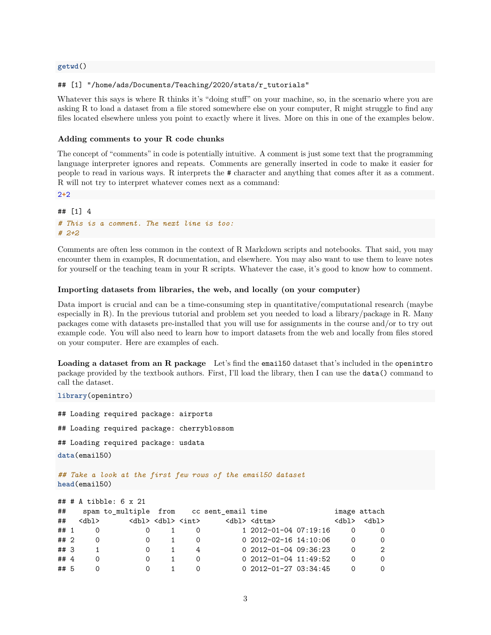### **getwd**()

### ## [1] "/home/ads/Documents/Teaching/2020/stats/r\_tutorials"

Whatever this says is where R thinks it's "doing stuff" on your machine, so, in the scenario where you are asking R to load a dataset from a file stored somewhere else on your computer, R might struggle to find any files located elsewhere unless you point to exactly where it lives. More on this in one of the examples below.

#### <span id="page-2-0"></span>**Adding comments to your R code chunks**

The concept of "comments" in code is potentially intuitive. A comment is just some text that the programming language interpreter ignores and repeats. Comments are generally inserted in code to make it easier for people to read in various ways. R interprets the # character and anything that comes after it as a comment. R will not try to interpret whatever comes next as a command:

2**+**2

**library**(openintro)

```
## [1] 4
# This is a comment. The next line is too:
# 2+2
```
Comments are often less common in the context of R Markdown scripts and notebooks. That said, you may encounter them in examples, R documentation, and elsewhere. You may also want to use them to leave notes for yourself or the teaching team in your R scripts. Whatever the case, it's good to know how to comment.

### <span id="page-2-1"></span>**Importing datasets from libraries, the web, and locally (on your computer)**

Data import is crucial and can be a time-consuming step in quantitative/computational research (maybe especially in R). In the previous tutorial and problem set you needed to load a library/package in R. Many packages come with datasets pre-installed that you will use for assignments in the course and/or to try out example code. You will also need to learn how to import datasets from the web and locally from files stored on your computer. Here are examples of each.

**Loading a dataset from an R package** Let's find the email50 dataset that's included in the openintro package provided by the textbook authors. First, I'll load the library, then I can use the data() command to call the dataset.

```
## Loading required package: airports
## Loading required package: cherryblossom
## Loading required package: usdata
data(email50)
## Take a look at the first few rows of the email50 dataset
head(email50)
## # A tibble: 6 x 21
## spam to_multiple from cc sent_email time image attach
## <dbl> <dbl> <dbl> <int> <dbl> <dttm> <dbl> <dbl>
## 1 0 0 1 0 1 2012-01-04 07:19:16 0 0
## 2 0 0 1 0 0 2012-02-16 14:10:06 0 0
## 3 1 0 1 4 0 2012-01-04 09:36:23 0 2
## 4 0 0 1 0 0 2012-01-04 11:49:52 0 0
```
## 5 0 0 1 0 0 2012-01-27 03:34:45 0 0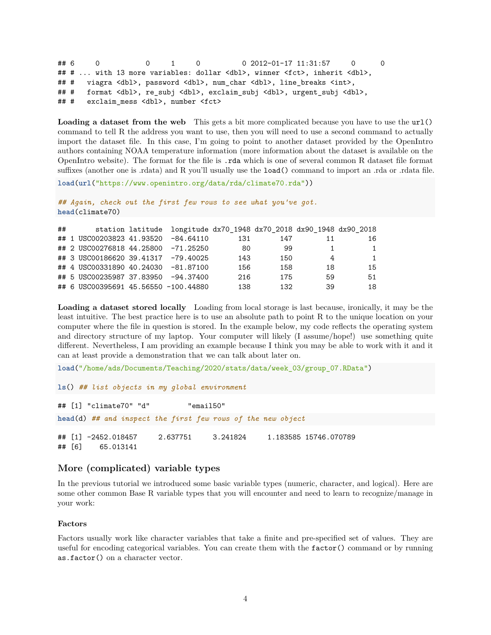```
## 6 0 0 1 0 0 2012-01-17 11:31:57 0 0
## # ... with 13 more variables: dollar <dbl>, winner <fct>, inherit <dbl>,
## # viagra <dbl>, password <dbl>, num_char <dbl>, line_breaks <int>,
## # format <dbl>, re_subj <dbl>, exclaim_subj <dbl>, urgent_subj <dbl>,
## # exclaim mess <dbl>, number <fct>
```
Loading a dataset from the web This gets a bit more complicated because you have to use the url() command to tell R the address you want to use, then you will need to use a second command to actually import the dataset file. In this case, I'm going to point to another dataset provided by the OpenIntro authors containing NOAA temperature information [\(more information about the dataset is available on the](https://www.openintro.org/data/index.php?data=climate70) [OpenIntro website\)](https://www.openintro.org/data/index.php?data=climate70). The format for the file is .rda which is one of several common R dataset file format suffixes (another one is .rdata) and R you'll usually use the **load**() command to import an .rda or .rdata file.

```
load(url("https://www.openintro.org/data/rda/climate70.rda"))
```

```
## Again, check out the first few rows to see what you've got.
head(climate70)
```

| ## |                                      | station latitude longitude dx70_1948 dx70_2018 dx90_1948 dx90_2018 |     |     |    |     |
|----|--------------------------------------|--------------------------------------------------------------------|-----|-----|----|-----|
|    | ## 1 USC00203823 41.93520 -84.64110  |                                                                    | 131 | 147 | 11 | 16. |
|    | ## 2 USC00276818 44.25800 -71.25250  |                                                                    | 80  | 99  |    | 1   |
|    | ## 3 USC00186620 39.41317 -79.40025  |                                                                    | 143 | 150 | 4  | 1   |
|    | ## 4 USC00331890 40.24030 -81.87100  |                                                                    | 156 | 158 | 18 | 15  |
|    | ## 5 USC00235987 37.83950 -94.37400  |                                                                    | 216 | 175 | 59 | 51  |
|    | ## 6 USC00395691 45.56550 -100.44880 |                                                                    | 138 | 132 | 39 | 18  |

**Loading a dataset stored locally** Loading from local storage is last because, ironically, it may be the least intuitive. The best practice here is to use an [absolute path](https://en.wikipedia.org/wiki/Path_%28computing%29) to point R to the unique location on your computer where the file in question is stored. In the example below, my code reflects the operating system and directory structure of my laptop. Your computer will likely (I assume/hope!) use something quite different. Nevertheless, I am providing an example because I think you may be able to work with it and it can at least provide a demonstration that we can talk about later on.

```
load("/home/ads/Documents/Teaching/2020/stats/data/week_03/group_07.RData")
```

```
ls() ## list objects in my global environment
```

```
## [1] "climate70" "d" "email50"
head(d) ## and inspect the first few rows of the new object
## [1] -2452.018457 2.637751 3.241824 1.183585 15746.070789
## [6] 65.013141
```
# <span id="page-3-0"></span>**More (complicated) variable types**

In the previous tutorial we introduced some basic variable types (numeric, character, and logical). Here are some other common Base R variable types that you will encounter and need to learn to recognize/manage in your work:

## <span id="page-3-1"></span>**Factors**

Factors usually work like character variables that take a finite and pre-specified set of values. They are useful for encoding categorical variables. You can create them with the factor() command or by running as.factor() on a character vector.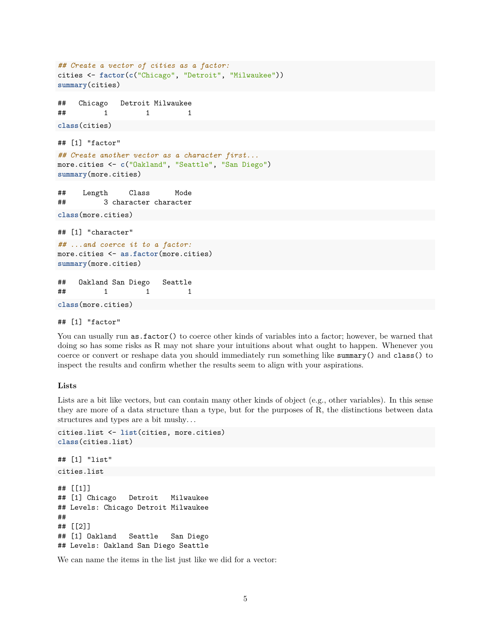```
## Create a vector of cities as a factor:
cities <- factor(c("Chicago", "Detroit", "Milwaukee"))
summary(cities)
## Chicago Detroit Milwaukee
## 1 1 1
class(cities)
## [1] "factor"
## Create another vector as a character first...
more.cities <- c("Oakland", "Seattle", "San Diego")
summary(more.cities)
## Length Class Mode
## 3 character character
class(more.cities)
## [1] "character"
## ...and coerce it to a factor:
more.cities <- as.factor(more.cities)
summary(more.cities)
## Oakland San Diego Seattle
## 1 1 1
```
**class**(more.cities)

```
## [1] "factor"
```
You can usually run as.factor() to coerce other kinds of variables into a factor; however, be warned that doing so has some risks as R may not share your intuitions about what ought to happen. Whenever you coerce or convert or reshape data you should immediately run something like summary() and class() to inspect the results and confirm whether the results seem to align with your aspirations.

## <span id="page-4-0"></span>**Lists**

Lists are a bit like vectors, but can contain many other kinds of object (e.g., other variables). In this sense they are more of a data structure than a type, but for the purposes of R, the distinctions between data structures and types are a bit mushy. . .

```
cities.list <- list(cities, more.cities)
class(cities.list)
## [1] "list"
cities.list
## [[1]]
## [1] Chicago Detroit Milwaukee
## Levels: Chicago Detroit Milwaukee
##
## [[2]]
## [1] Oakland Seattle San Diego
## Levels: Oakland San Diego Seattle
```
We can name the items in the list just like we did for a vector: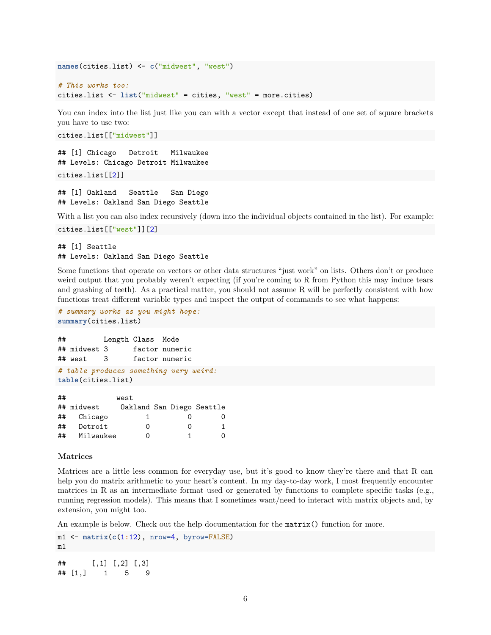```
names(cities.list) <- c("midwest", "west")
```

```
# This works too:
cities.list <- list("midwest" = cities, "west" = more.cities)
```
You can index into the list just like you can with a vector except that instead of one set of square brackets you have to use two:

cities.list[["midwest"]]

```
## [1] Chicago Detroit Milwaukee
## Levels: Chicago Detroit Milwaukee
cities.list[[2]]
```

```
## [1] Oakland Seattle San Diego
## Levels: Oakland San Diego Seattle
```
With a list you can also index recursively (down into the individual objects contained in the list). For example: cities.list[["west"]][2]

# ## [1] Seattle ## Levels: Oakland San Diego Seattle

Some functions that operate on vectors or other data structures "just work" on lists. Others don't or produce weird output that you probably weren't expecting (if you're coming to R from Python this may induce tears and gnashing of teeth). As a practical matter, you should not assume R will be perfectly consistent with how functions treat different variable types and inspect the output of commands to see what happens:

```
# summary works as you might hope:
summary(cities.list)
```

```
## Length Class Mode
## midwest 3 factor numeric
## west 3 factor numeric
# table produces something very weird:
```
**table**(cities.list)

| ## |            | west                      |   |   |
|----|------------|---------------------------|---|---|
|    | ## midwest | Oakland San Diego Seattle |   |   |
| ## | Chicago    |                           |   | O |
| ## | Detroit    | Ω                         | Ω | 1 |
| ## | Milwaukee  | Ω                         |   | Ω |

### <span id="page-5-0"></span>**Matrices**

Matrices are a little less common for everyday use, but it's good to know they're there and that R can help you do matrix arithmetic to your heart's content. In my day-to-day work, I most frequently encounter matrices in R as an intermediate format used or generated by functions to complete specific tasks (e.g., running regression models). This means that I sometimes want/need to interact with matrix objects and, by extension, you might too.

An example is below. Check out the help documentation for the matrix() function for more.

```
m1 <- matrix(c(1:12), nrow=4, byrow=FALSE)
m1
## [,1] [,2] [,3]
## [1,] 1 5 9
```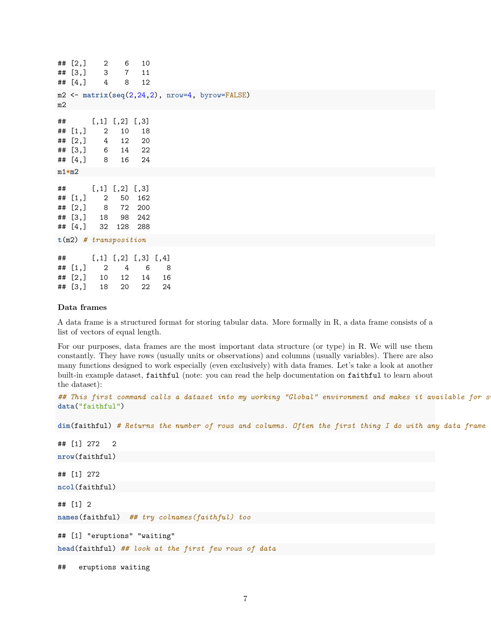|    | ## $[2,]$<br>$## [3, ]$ 3<br>## $[4, 3 4$                   | $\overline{2}$ | 6<br>$\overline{7}$<br>8                     | 10<br>11<br>12                                       |                      |                                                                                      |  |  |  |
|----|-------------------------------------------------------------|----------------|----------------------------------------------|------------------------------------------------------|----------------------|--------------------------------------------------------------------------------------|--|--|--|
| m2 |                                                             |                |                                              |                                                      |                      | $m2 \leq -\text{ matrix}(\text{seq}(2, 24, 2), \text{ nrow=4}, \text{ byrow=FALSE})$ |  |  |  |
| ## | ## $[1,]$<br>## $[2, 3 \ 4$<br>## [3,] 6<br>$## [4, ]$ 8    | $\overline{2}$ | $[,1]$ $[,2]$ $[,3]$<br>10<br>12<br>14<br>16 | 18<br>20<br>22<br>24                                 |                      |                                                                                      |  |  |  |
|    | $m1*m2$                                                     |                |                                              |                                                      |                      |                                                                                      |  |  |  |
| ## | ## $[1,]$ 2<br>## $[2, 3 \ 8$<br>## [3,] 18<br>## $[4, 32]$ |                | $[,1]$ $[,2]$ $[,3]$<br>72                   | 50 162<br>200<br>98 242<br>128 288                   |                      |                                                                                      |  |  |  |
|    | $t(m2)$ # transposition                                     |                |                                              |                                                      |                      |                                                                                      |  |  |  |
| ## | ## $[1, 3 2$<br>## [2,]                                     | 10             | $\overline{4}$<br>12                         | $[,1]$ $[,2]$ $[,3]$ $[,4]$<br>$6\overline{6}$<br>14 | 8 <sup>8</sup><br>16 |                                                                                      |  |  |  |
|    | ## [3,]                                                     | 18             | 20                                           | 22                                                   | 24                   |                                                                                      |  |  |  |

### <span id="page-6-0"></span>**Data frames**

A data frame is a structured format for storing tabular data. More formally in R, a data frame consists of a list of vectors of equal length.

For our purposes, data frames are the most important data structure (or type) in R. We will use them constantly. They have rows (usually units or observations) and columns (usually variables). There are also many functions designed to work especially (even exclusively) with data frames. Let's take a look at another built-in example dataset, faithful (note: you can read the help documentation on faithful to learn about the dataset):

## This first command calls a dataset into my working "Global" environment and makes it available for s **data**("faithful")

**dim**(faithful) *# Returns the number of rows and columns. Often the first thing I do with any data frame*

## [1] 272 2 **nrow**(faithful) ## [1] 272 **ncol**(faithful) ## [1] 2 **names**(faithful) *## try colnames(faithful) too* ## [1] "eruptions" "waiting" **head**(faithful) *## look at the first few rows of data*

## eruptions waiting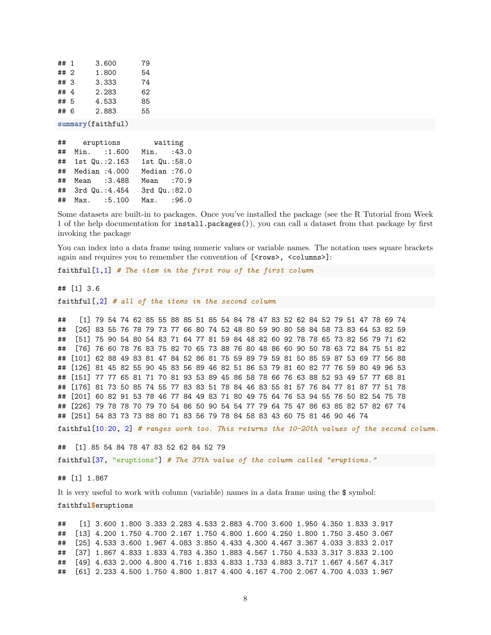| ##1  | 3.600 | 79 |
|------|-------|----|
| ## 2 | 1.800 | 54 |
| ## 3 | 3.333 | 74 |
| ##4  | 2.283 | 62 |
| ##5  | 4.533 | 85 |
| ## 6 | 2.883 | 55 |
|      |       |    |

**summary**(faithful)

| ## | eruptions        | waiting      |
|----|------------------|--------------|
| ## | Min. : 1.600     | Min. : 43.0  |
| ## | 1st Qu.: 2.163   | 1st Qu.:58.0 |
|    | ## Median :4.000 | Median:76.0  |
| ## | Mean : 3.488     | Mean :70.9   |
|    | ## 3rd Qu.:4.454 | 3rd Qu.:82.0 |
|    | ## Max. :5.100   | Max. : 96.0  |

Some datasets are built-in to packages. Once you've installed the package (see the R Tutorial from Week 1 of the help documentation for install.packages()), you can call a dataset from that package by first invoking the package

You can index into a data frame using numeric values or variable names. The notation uses square brackets again and requires you to remember the convention of  $[\langle \text{rows}\rangle, \langle \text{columns}\rangle]$ :

faithful[1,1] *# The item in the first row of the first column*

## [1] 3.6

faithful[,2] *# all of the items in the second column*

## [1] 79 54 74 62 85 55 88 85 51 85 54 84 78 47 83 52 62 84 52 79 51 47 78 69 74 ## [26] 83 55 76 78 79 73 77 66 80 74 52 48 80 59 90 80 58 84 58 73 83 64 53 82 59 ## [51] 75 90 54 80 54 83 71 64 77 81 59 84 48 82 60 92 78 78 65 73 82 56 79 71 62 ## [76] 76 60 78 76 83 75 82 70 65 73 88 76 80 48 86 60 90 50 78 63 72 84 75 51 82 ## [101] 62 88 49 83 81 47 84 52 86 81 75 59 89 79 59 81 50 85 59 87 53 69 77 56 88 ## [126] 81 45 82 55 90 45 83 56 89 46 82 51 86 53 79 81 60 82 77 76 59 80 49 96 53 ## [151] 77 77 65 81 71 70 81 93 53 89 45 86 58 78 66 76 63 88 52 93 49 57 77 68 81 ## [176] 81 73 50 85 74 55 77 83 83 51 78 84 46 83 55 81 57 76 84 77 81 87 77 51 78 ## [201] 60 82 91 53 78 46 77 84 49 83 71 80 49 75 64 76 53 94 55 76 50 82 54 75 78 ## [226] 79 78 78 70 79 70 54 86 50 90 54 54 77 79 64 75 47 86 63 85 82 57 82 67 74 ## [251] 54 83 73 73 88 80 71 83 56 79 78 84 58 83 43 60 75 81 46 90 46 74

faithful[10**:**20, 2] *# ranges work too. This returns the 10-20th values of the second column.*

## [1] 85 54 84 78 47 83 52 62 84 52 79

faithful[37, "eruptions"] *# The 37th value of the column called "eruptions."*

## [1] 1.867

It is very useful to work with column (variable) names in a data frame using the \$ symbol:

faithful**\$**eruptions

## [1] 3.600 1.800 3.333 2.283 4.533 2.883 4.700 3.600 1.950 4.350 1.833 3.917 ## [13] 4.200 1.750 4.700 2.167 1.750 4.800 1.600 4.250 1.800 1.750 3.450 3.067 ## [25] 4.533 3.600 1.967 4.083 3.850 4.433 4.300 4.467 3.367 4.033 3.833 2.017 ## [37] 1.867 4.833 1.833 4.783 4.350 1.883 4.567 1.750 4.533 3.317 3.833 2.100 ## [49] 4.633 2.000 4.800 4.716 1.833 4.833 1.733 4.883 3.717 1.667 4.567 4.317 ## [61] 2.233 4.500 1.750 4.800 1.817 4.400 4.167 4.700 2.067 4.700 4.033 1.967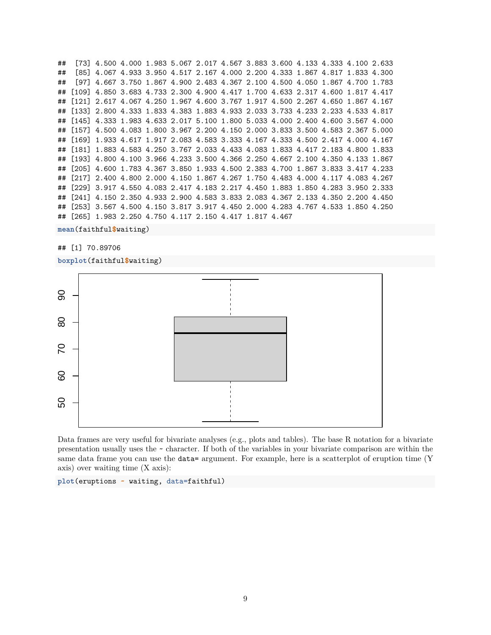## [73] 4.500 4.000 1.983 5.067 2.017 4.567 3.883 3.600 4.133 4.333 4.100 2.633 ## [85] 4.067 4.933 3.950 4.517 2.167 4.000 2.200 4.333 1.867 4.817 1.833 4.300 ## [97] 4.667 3.750 1.867 4.900 2.483 4.367 2.100 4.500 4.050 1.867 4.700 1.783 ## [109] 4.850 3.683 4.733 2.300 4.900 4.417 1.700 4.633 2.317 4.600 1.817 4.417 ## [121] 2.617 4.067 4.250 1.967 4.600 3.767 1.917 4.500 2.267 4.650 1.867 4.167 ## [133] 2.800 4.333 1.833 4.383 1.883 4.933 2.033 3.733 4.233 2.233 4.533 4.817 ## [145] 4.333 1.983 4.633 2.017 5.100 1.800 5.033 4.000 2.400 4.600 3.567 4.000 ## [157] 4.500 4.083 1.800 3.967 2.200 4.150 2.000 3.833 3.500 4.583 2.367 5.000 ## [169] 1.933 4.617 1.917 2.083 4.583 3.333 4.167 4.333 4.500 2.417 4.000 4.167 ## [181] 1.883 4.583 4.250 3.767 2.033 4.433 4.083 1.833 4.417 2.183 4.800 1.833 ## [193] 4.800 4.100 3.966 4.233 3.500 4.366 2.250 4.667 2.100 4.350 4.133 1.867 ## [205] 4.600 1.783 4.367 3.850 1.933 4.500 2.383 4.700 1.867 3.833 3.417 4.233 ## [217] 2.400 4.800 2.000 4.150 1.867 4.267 1.750 4.483 4.000 4.117 4.083 4.267 ## [229] 3.917 4.550 4.083 2.417 4.183 2.217 4.450 1.883 1.850 4.283 3.950 2.333 ## [241] 4.150 2.350 4.933 2.900 4.583 3.833 2.083 4.367 2.133 4.350 2.200 4.450 ## [253] 3.567 4.500 4.150 3.817 3.917 4.450 2.000 4.283 4.767 4.533 1.850 4.250 ## [265] 1.983 2.250 4.750 4.117 2.150 4.417 1.817 4.467

**mean**(faithful**\$**waiting)

## [1] 70.89706

**boxplot**(faithful**\$**waiting)



Data frames are very useful for bivariate analyses (e.g., plots and tables). The base R notation for a bivariate presentation usually uses the ~ character. If both of the variables in your bivariate comparison are within the same data frame you can use the **data=** argument. For example, here is a scatterplot of eruption time (Y axis) over waiting time (X axis):

**plot**(eruptions **~** waiting, data=faithful)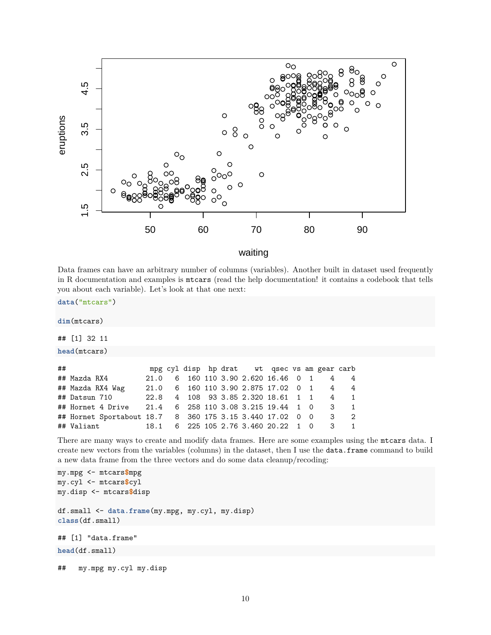

waiting

Data frames can have an arbitrary number of columns (variables). Another built in dataset used frequently in R documentation and examples is mtcars (read the help documentation! it contains a codebook that tells you about each variable). Let's look at that one next:

**data**("mtcars")

**dim**(mtcars)

```
## [1] 32 11
```
**head**(mtcars)

| ## |                                                           |  |  |  | mpg cyl disp hp drat wt qsec vs am gear carb |  |                                          |
|----|-----------------------------------------------------------|--|--|--|----------------------------------------------|--|------------------------------------------|
|    | ## Mazda RX4                                              |  |  |  | 21.0 6 160 110 3.90 2.620 16.46 0 1 4 4      |  |                                          |
|    | ## Mazda RX4 Wag                                          |  |  |  | 21.0 6 160 110 3.90 2.875 17.02 0 1 4 4      |  |                                          |
|    | ## Datsun 710                                             |  |  |  | 22.8 4 108 93 3.85 2.320 18.61 1 1 4 1       |  |                                          |
|    | ## Hornet 4 Drive 21.4 6 258 110 3.08 3.215 19.44 1 0 3 1 |  |  |  |                                              |  |                                          |
|    | ## Hornet Sportabout 18.7 8 360 175 3.15 3.440 17.02 0 0  |  |  |  |                                              |  | $\begin{array}{ccc} & 3 & 2 \end{array}$ |
|    | ## Valiant                                                |  |  |  | 18.1 6 225 105 2.76 3.460 20.22 1 0 3 1      |  |                                          |

There are many ways to create and modify data frames. Here are some examples using the mtcars data. I create new vectors from the variables (columns) in the dataset, then I use the data.frame command to build a new data frame from the three vectors and do some data cleanup/recoding:

```
my.mpg <- mtcars$mpg
my.cyl <- mtcars$cyl
my.disp <- mtcars$disp
df.small <- data.frame(my.mpg, my.cyl, my.disp)
class(df.small)
## [1] "data.frame"
head(df.small)
## my.mpg my.cyl my.disp
```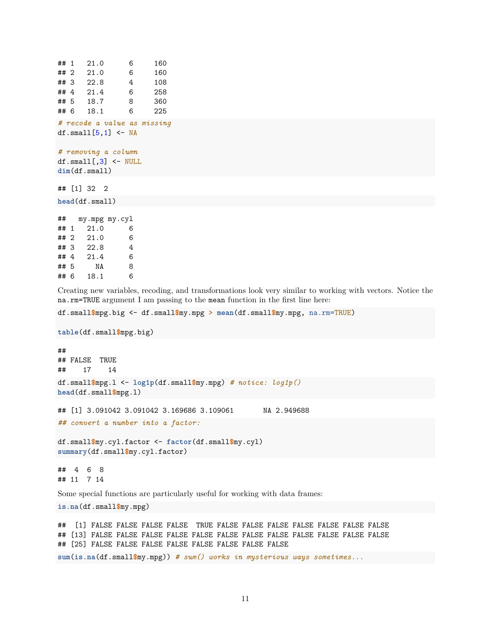```
## 1 21.0 6 160
## 2 21.0 6 160
## 3 22.8 4 108
## 4 21.4 6 258
## 5 18.7 8 360
## 6 18.1 6 225
# recode a value as missing
df.small[5,1] <- NA
# removing a column
df.small[,3] <- NULL
dim(df.small)
## [1] 32 2
head(df.small)
## my.mpg my.cyl
## 1 21.0 6
## 2 21.0 6
## 3 22.8 4
## 4 21.4 6
## 5 NA 8
```
## 6 18.1 6

Creating new variables, recoding, and transformations look very similar to working with vectors. Notice the na.rm=TRUE argument I am passing to the mean function in the first line here:

df.small**\$**mpg.big <- df.small**\$**my.mpg **> mean**(df.small**\$**my.mpg, na.rm=TRUE)

**table**(df.small**\$**mpg.big)

```
##
## FALSE TRUE
## 17 14
df.small$mpg.l <- log1p(df.small$my.mpg) # notice: log1p()
head(df.small$mpg.l)
## [1] 3.091042 3.091042 3.169686 3.109061 NA 2.949688
## convert a number into a factor:
df.small$my.cyl.factor <- factor(df.small$my.cyl)
summary(df.small$my.cyl.factor)
```
## 4 6 8 ## 11 7 14

Some special functions are particularly useful for working with data frames:

**is.na**(df.small**\$**my.mpg)

```
## [1] FALSE FALSE FALSE FALSE TRUE FALSE FALSE FALSE FALSE FALSE FALSE FALSE
## [13] FALSE FALSE FALSE FALSE FALSE FALSE FALSE FALSE FALSE FALSE FALSE FALSE
## [25] FALSE FALSE FALSE FALSE FALSE FALSE FALSE FALSE
```
**sum**(**is.na**(df.small**\$**my.mpg)) *# sum() works in mysterious ways sometimes...*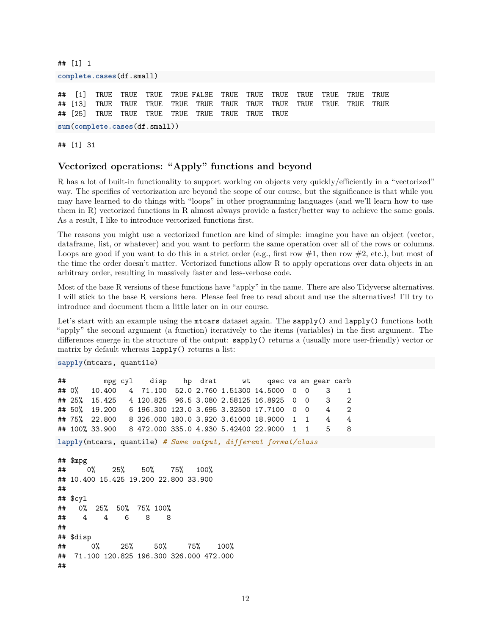## [1] 1 **complete.cases**(df.small) ## [1] TRUE TRUE TRUE TRUE FALSE TRUE TRUE TRUE TRUE TRUE TRUE TRUE ## [13] TRUE TRUE TRUE TRUE TRUE TRUE TRUE TRUE TRUE TRUE TRUE TRUE ## [25] TRUE TRUE TRUE TRUE TRUE TRUE TRUE TRUE **sum**(**complete.cases**(df.small))

## [1] 31

# <span id="page-11-0"></span>**Vectorized operations: "Apply" functions and beyond**

R has a lot of built-in functionality to support working on objects very quickly/efficiently in a "vectorized" way. The specifics of vectorization are beyond the scope of our course, but the significance is that while you may have learned to do things with "loops" in other programming languages (and we'll learn how to use them in R) vectorized functions in R almost always provide a faster/better way to achieve the same goals. As a result, I like to introduce vectorized functions first.

The reasons you might use a vectorized function are kind of simple: imagine you have an object (vector, dataframe, list, or whatever) and you want to perform the same operation over all of the rows or columns. Loops are good if you want to do this in a strict order (e.g., first row  $\#1$ , then row  $\#2$ , etc.), but most of the time the order doesn't matter. Vectorized functions allow R to apply operations over data objects in an arbitrary order, resulting in massively faster and less-verbose code.

Most of the base R versions of these functions have "apply" in the name. There are also Tidyverse alternatives. I will stick to the base R versions here. Please feel free to read about and use the alternatives! I'll try to introduce and document them a little later on in our course.

Let's start with an example using the mtcars dataset again. The sapply() and lapply() functions both "apply" the second argument (a function) iteratively to the items (variables) in the first argument. The differences emerge in the structure of the output: sapply() returns a (usually more user-friendly) vector or matrix by default whereas lapply() returns a list:

**sapply**(mtcars, quantile)

| ## |               |  |  | mpg cyl disp hp drat wt qsec vs am gear carb                          |  |  |  |
|----|---------------|--|--|-----------------------------------------------------------------------|--|--|--|
|    |               |  |  | ## 0% 10.400 4 71.100 52.0 2.760 1.51300 14.5000 0 0 3 1              |  |  |  |
|    |               |  |  | ## 25% 15.425 4 120.825 96.5 3.080 2.58125 16.8925 0 0 3 2            |  |  |  |
|    |               |  |  | ## 50% 19.200   6 196.300 123.0 3.695 3.32500 17.7100   0   0   4   2 |  |  |  |
|    | ## 75% 22.800 |  |  | 8 326.000 180.0 3.920 3.61000 18.9000  1  1     4                     |  |  |  |
|    |               |  |  | ## 100% 33.900 8 472.000 335.0 4.930 5.42400 22.9000 1 1 5 8          |  |  |  |

**lapply**(mtcars, quantile) *# Same output, different format/class*

```
## $mpg
## 0% 25% 50% 75% 100%
## 10.400 15.425 19.200 22.800 33.900
##
## $cyl
## 0% 25% 50% 75% 100%
## 4 4 6 8 8
##
## $disp
## 0% 25% 50% 75% 100%
## 71.100 120.825 196.300 326.000 472.000
##
```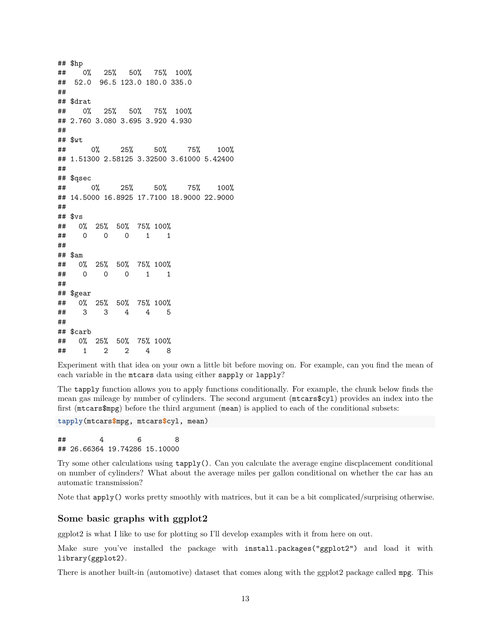## \$hp ## 0% 25% 50% 75% 100% ## 52.0 96.5 123.0 180.0 335.0 ## ## \$drat ## 0% 25% 50% 75% 100% ## 2.760 3.080 3.695 3.920 4.930 ## ## \$wt ## 0% 25% 50% 75% 100% ## 1.51300 2.58125 3.32500 3.61000 5.42400 ## ## \$qsec ## 0% 25% 50% 75% 100% ## 14.5000 16.8925 17.7100 18.9000 22.9000 ## ## \$vs ## 0% 25% 50% 75% 100% ## 0 0 0 1 1 ## ## \$am ## 0% 25% 50% 75% 100% ## 0 0 0 1 1 ## ## \$gear ## 0% 25% 50% 75% 100% ## 3 3 4 4 5 ## ## \$carb ## 0% 25% 50% 75% 100% ## 1 2 2 4 8

Experiment with that idea on your own a little bit before moving on. For example, can you find the mean of each variable in the mtcars data using either sapply or lapply?

The tapply function allows you to apply functions conditionally. For example, the chunk below finds the mean gas mileage by number of cylinders. The second argument (mtcars\$cyl) provides an index into the first (mtcars\$mpg) before the third argument (mean) is applied to each of the conditional subsets:

**tapply**(mtcars**\$**mpg, mtcars**\$**cyl, mean)

## 4 6 8 ## 26.66364 19.74286 15.10000

Try some other calculations using tapply(). Can you calculate the average engine discplacement conditional on number of cylinders? What about the average miles per gallon conditional on whether the car has an automatic transmission?

Note that apply() works pretty smoothly with matrices, but it can be a bit complicated/surprising otherwise.

### <span id="page-12-0"></span>**Some basic graphs with ggplot2**

ggplot2 is what I like to use for plotting so I'll develop examples with it from here on out.

Make sure you've installed the package with install.packages("ggplot2") and load it with library(ggplot2).

There is another built-in (automotive) dataset that comes along with the ggplot2 package called mpg. This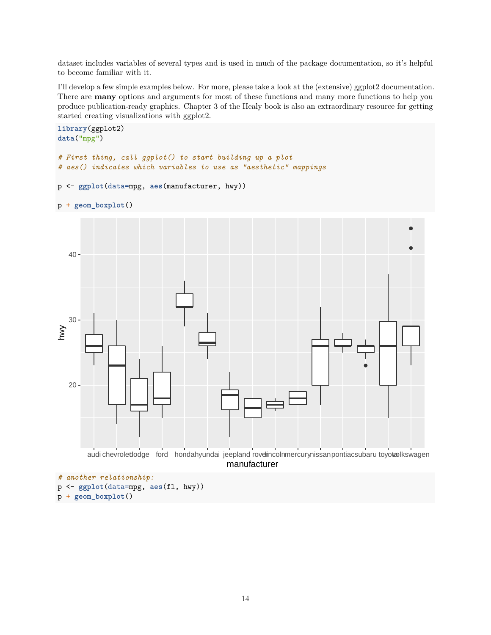dataset includes variables of several types and is used in much of the package documentation, so it's helpful to become familiar with it.

I'll develop a few simple examples below. For more, please take a look at the (extensive) [ggplot2 documentation.](https://ggplot2.tidyverse.org/reference/index.html) There are **many** options and arguments for most of these functions and many more functions to help you produce publication-ready graphics. Chapter 3 of the Healy book is also an extraordinary resource for getting started creating visualizations with ggplot2.

```
library(ggplot2)
data("mpg")
# First thing, call ggplot() to start building up a plot
# aes() indicates which variables to use as "aesthetic" mappings
p <- ggplot(data=mpg, aes(manufacturer, hwy))
p + geom_boxplot()
   20 -30
   40
       audi chevroletlodge ford hondahyundai jeepland rovelincolnmercurynissanpontiacsubaru toyotavlkswagen
                                           manufacturer
hwy
# another relationship:
```

```
p <- ggplot(data=mpg, aes(fl, hwy))
```

```
p + geom_boxplot()
```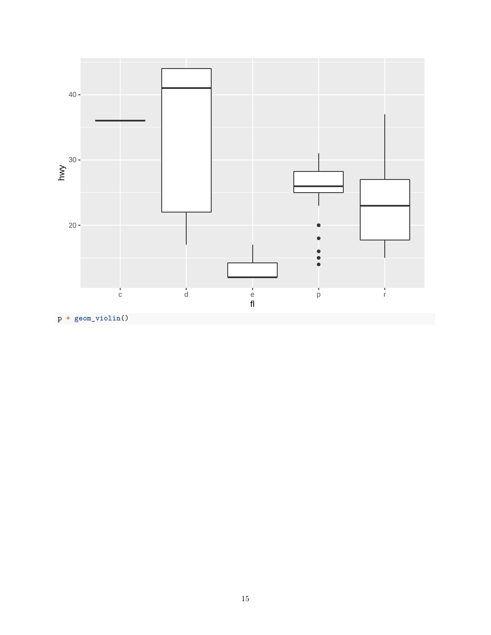

15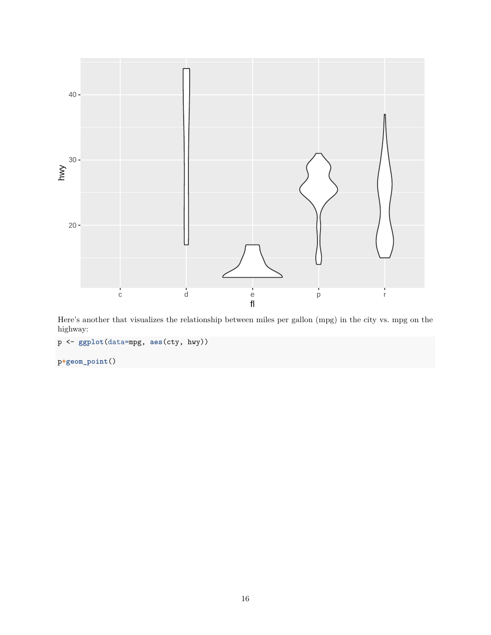

Here's another that visualizes the relationship between miles per gallon (mpg) in the city vs. mpg on the highway:

p <- **ggplot**(data=mpg, **aes**(cty, hwy))

p**+geom\_point**()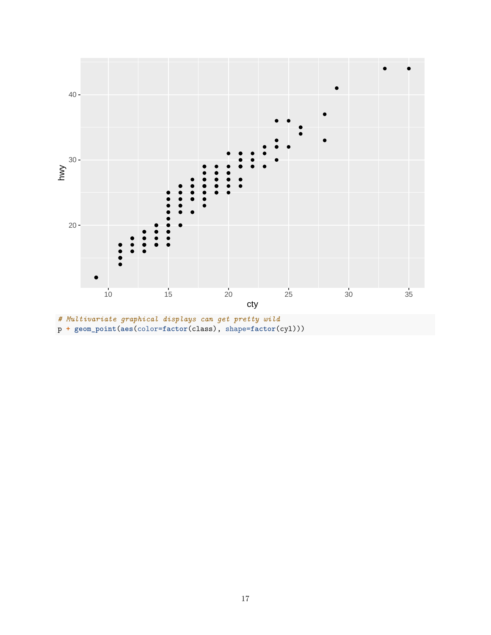

p **+ geom\_point**(**aes**(color=**factor**(class), shape=**factor**(cyl)))